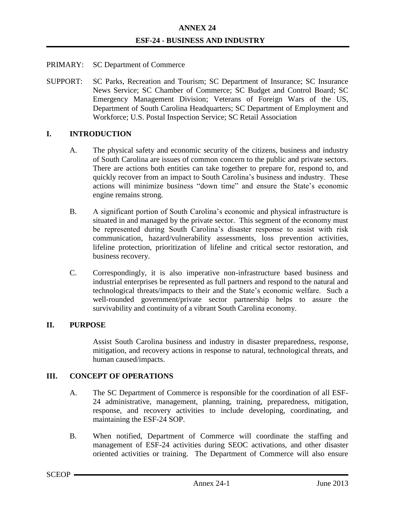- PRIMARY: SC Department of Commerce
- SUPPORT: SC Parks, Recreation and Tourism; SC Department of Insurance; SC Insurance News Service; SC Chamber of Commerce; SC Budget and Control Board; SC Emergency Management Division; Veterans of Foreign Wars of the US, Department of South Carolina Headquarters; SC Department of Employment and Workforce; U.S. Postal Inspection Service; SC Retail Association

## **I. INTRODUCTION**

- A. The physical safety and economic security of the citizens, business and industry of South Carolina are issues of common concern to the public and private sectors. There are actions both entities can take together to prepare for, respond to, and quickly recover from an impact to South Carolina's business and industry. These actions will minimize business "down time" and ensure the State's economic engine remains strong.
- B. A significant portion of South Carolina's economic and physical infrastructure is situated in and managed by the private sector. This segment of the economy must be represented during South Carolina's disaster response to assist with risk communication, hazard/vulnerability assessments, loss prevention activities, lifeline protection, prioritization of lifeline and critical sector restoration, and business recovery.
- C. Correspondingly, it is also imperative non-infrastructure based business and industrial enterprises be represented as full partners and respond to the natural and technological threats/impacts to their and the State's economic welfare. Such a well-rounded government/private sector partnership helps to assure the survivability and continuity of a vibrant South Carolina economy.

## **II. PURPOSE**

Assist South Carolina business and industry in disaster preparedness, response, mitigation, and recovery actions in response to natural, technological threats, and human caused/impacts.

## **III. CONCEPT OF OPERATIONS**

- A. The SC Department of Commerce is responsible for the coordination of all ESF-24 administrative, management, planning, training, preparedness, mitigation, response, and recovery activities to include developing, coordinating, and maintaining the ESF-24 SOP.
- B. When notified, Department of Commerce will coordinate the staffing and management of ESF-24 activities during SEOC activations, and other disaster oriented activities or training. The Department of Commerce will also ensure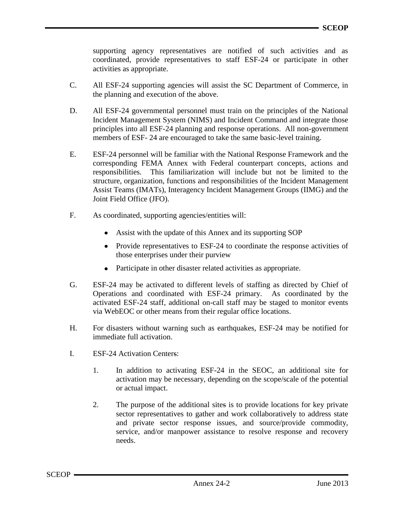supporting agency representatives are notified of such activities and as coordinated, provide representatives to staff ESF-24 or participate in other activities as appropriate.

- C. All ESF-24 supporting agencies will assist the SC Department of Commerce, in the planning and execution of the above.
- D. All ESF-24 governmental personnel must train on the principles of the National Incident Management System (NIMS) and Incident Command and integrate those principles into all ESF-24 planning and response operations. All non-government members of ESF- 24 are encouraged to take the same basic-level training.
- E. ESF-24 personnel will be familiar with the National Response Framework and the corresponding FEMA Annex with Federal counterpart concepts, actions and responsibilities. This familiarization will include but not be limited to the structure, organization, functions and responsibilities of the Incident Management Assist Teams (IMATs), Interagency Incident Management Groups (IIMG) and the Joint Field Office (JFO).
- F. As coordinated, supporting agencies/entities will:
	- Assist with the update of this Annex and its supporting SOP
	- Provide representatives to ESF-24 to coordinate the response activities of those enterprises under their purview
	- Participate in other disaster related activities as appropriate.
- G. ESF-24 may be activated to different levels of staffing as directed by Chief of Operations and coordinated with ESF-24 primary. As coordinated by the activated ESF-24 staff, additional on-call staff may be staged to monitor events via WebEOC or other means from their regular office locations.
- H. For disasters without warning such as earthquakes, ESF-24 may be notified for immediate full activation.
- I. ESF-24 Activation Centers:
	- 1. In addition to activating ESF-24 in the SEOC, an additional site for activation may be necessary, depending on the scope/scale of the potential or actual impact.
	- 2. The purpose of the additional sites is to provide locations for key private sector representatives to gather and work collaboratively to address state and private sector response issues, and source/provide commodity, service, and/or manpower assistance to resolve response and recovery needs.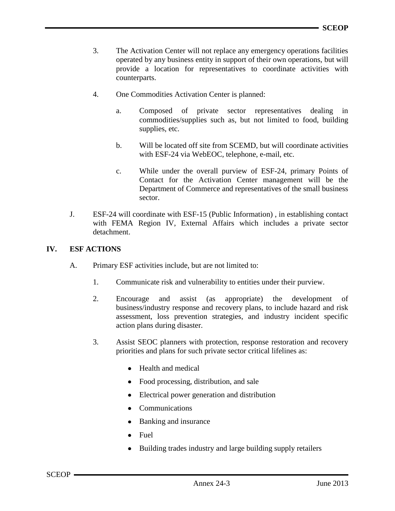- 3. The Activation Center will not replace any emergency operations facilities operated by any business entity in support of their own operations, but will provide a location for representatives to coordinate activities with counterparts.
- 4. One Commodities Activation Center is planned:
	- a. Composed of private sector representatives dealing in commodities/supplies such as, but not limited to food, building supplies, etc.
	- b. Will be located off site from SCEMD, but will coordinate activities with ESF-24 via WebEOC, telephone, e-mail, etc.
	- c. While under the overall purview of ESF-24, primary Points of Contact for the Activation Center management will be the Department of Commerce and representatives of the small business sector.
- J. ESF-24 will coordinate with ESF-15 (Public Information) , in establishing contact with FEMA Region IV, External Affairs which includes a private sector detachment.

## **IV. ESF ACTIONS**

- A. Primary ESF activities include, but are not limited to:
	- 1. Communicate risk and vulnerability to entities under their purview.
	- 2. Encourage and assist (as appropriate) the development of business/industry response and recovery plans, to include hazard and risk assessment, loss prevention strategies, and industry incident specific action plans during disaster.
	- 3. Assist SEOC planners with protection, response restoration and recovery priorities and plans for such private sector critical lifelines as:
		- Health and medical
		- Food processing, distribution, and sale
		- Electrical power generation and distribution
		- Communications
		- Banking and insurance
		- Fuel  $\bullet$
		- Building trades industry and large building supply retailers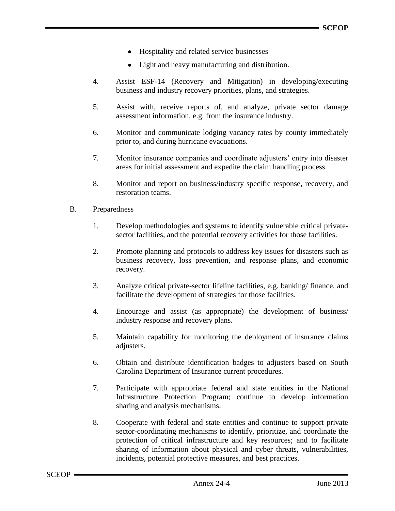- Hospitality and related service businesses  $\bullet$
- Light and heavy manufacturing and distribution.  $\bullet$
- 4. Assist ESF-14 (Recovery and Mitigation) in developing/executing business and industry recovery priorities, plans, and strategies.
- 5. Assist with, receive reports of, and analyze, private sector damage assessment information, e.g. from the insurance industry.
- 6. Monitor and communicate lodging vacancy rates by county immediately prior to, and during hurricane evacuations.
- 7. Monitor insurance companies and coordinate adjusters' entry into disaster areas for initial assessment and expedite the claim handling process.
- 8. Monitor and report on business/industry specific response, recovery, and restoration teams.
- B. Preparedness
	- 1. Develop methodologies and systems to identify vulnerable critical privatesector facilities, and the potential recovery activities for those facilities.
	- 2. Promote planning and protocols to address key issues for disasters such as business recovery, loss prevention, and response plans, and economic recovery.
	- 3. Analyze critical private-sector lifeline facilities, e.g. banking/ finance, and facilitate the development of strategies for those facilities.
	- 4. Encourage and assist (as appropriate) the development of business/ industry response and recovery plans.
	- 5. Maintain capability for monitoring the deployment of insurance claims adjusters.
	- 6. Obtain and distribute identification badges to adjusters based on South Carolina Department of Insurance current procedures.
	- 7. Participate with appropriate federal and state entities in the National Infrastructure Protection Program; continue to develop information sharing and analysis mechanisms.
	- 8. Cooperate with federal and state entities and continue to support private sector-coordinating mechanisms to identify, prioritize, and coordinate the protection of critical infrastructure and key resources; and to facilitate sharing of information about physical and cyber threats, vulnerabilities, incidents, potential protective measures, and best practices.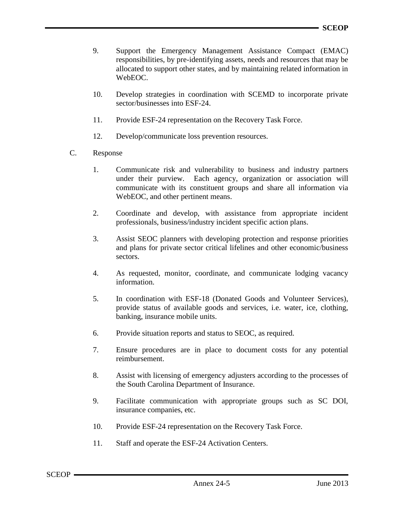- 9. Support the Emergency Management Assistance Compact (EMAC) responsibilities, by pre-identifying assets, needs and resources that may be allocated to support other states, and by maintaining related information in WebEOC.
- 10. Develop strategies in coordination with SCEMD to incorporate private sector/businesses into ESF-24.
- 11. Provide ESF-24 representation on the Recovery Task Force.
- 12. Develop/communicate loss prevention resources.
- C. Response
	- 1. Communicate risk and vulnerability to business and industry partners under their purview. Each agency, organization or association will communicate with its constituent groups and share all information via WebEOC, and other pertinent means.
	- 2. Coordinate and develop, with assistance from appropriate incident professionals, business/industry incident specific action plans.
	- 3. Assist SEOC planners with developing protection and response priorities and plans for private sector critical lifelines and other economic/business sectors.
	- 4. As requested, monitor, coordinate, and communicate lodging vacancy information.
	- 5. In coordination with ESF-18 (Donated Goods and Volunteer Services), provide status of available goods and services, i.e. water, ice, clothing, banking, insurance mobile units.
	- 6. Provide situation reports and status to SEOC, as required.
	- 7. Ensure procedures are in place to document costs for any potential reimbursement.
	- 8. Assist with licensing of emergency adjusters according to the processes of the South Carolina Department of Insurance.
	- 9. Facilitate communication with appropriate groups such as SC DOI, insurance companies, etc.
	- 10. Provide ESF-24 representation on the Recovery Task Force.
	- 11. Staff and operate the ESF-24 Activation Centers.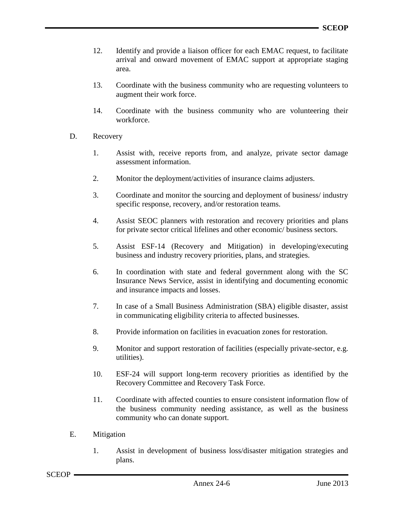- 12. Identify and provide a liaison officer for each EMAC request, to facilitate arrival and onward movement of EMAC support at appropriate staging area.
- 13. Coordinate with the business community who are requesting volunteers to augment their work force.
- 14. Coordinate with the business community who are volunteering their workforce.
- D. Recovery
	- 1. Assist with, receive reports from, and analyze, private sector damage assessment information.
	- 2. Monitor the deployment/activities of insurance claims adjusters.
	- 3. Coordinate and monitor the sourcing and deployment of business/ industry specific response, recovery, and/or restoration teams.
	- 4. Assist SEOC planners with restoration and recovery priorities and plans for private sector critical lifelines and other economic/ business sectors.
	- 5. Assist ESF-14 (Recovery and Mitigation) in developing/executing business and industry recovery priorities, plans, and strategies.
	- 6. In coordination with state and federal government along with the SC Insurance News Service, assist in identifying and documenting economic and insurance impacts and losses.
	- 7. In case of a Small Business Administration (SBA) eligible disaster, assist in communicating eligibility criteria to affected businesses.
	- 8. Provide information on facilities in evacuation zones for restoration.
	- 9. Monitor and support restoration of facilities (especially private-sector, e.g. utilities).
	- 10. ESF-24 will support long-term recovery priorities as identified by the Recovery Committee and Recovery Task Force.
	- 11. Coordinate with affected counties to ensure consistent information flow of the business community needing assistance, as well as the business community who can donate support.
- E. Mitigation
	- 1. Assist in development of business loss/disaster mitigation strategies and plans.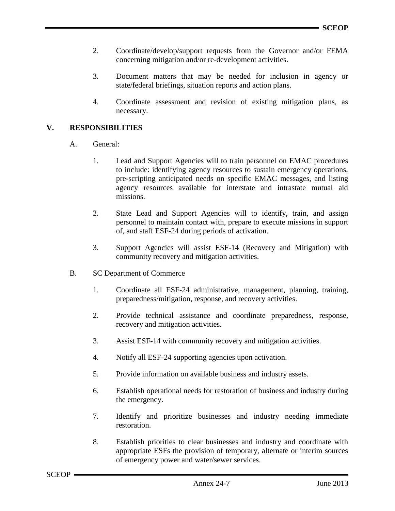- 2. Coordinate/develop/support requests from the Governor and/or FEMA concerning mitigation and/or re-development activities.
- 3. Document matters that may be needed for inclusion in agency or state/federal briefings, situation reports and action plans.
- 4. Coordinate assessment and revision of existing mitigation plans, as necessary.

# **V. RESPONSIBILITIES**

- A. General:
	- 1. Lead and Support Agencies will to train personnel on EMAC procedures to include: identifying agency resources to sustain emergency operations, pre-scripting anticipated needs on specific EMAC messages, and listing agency resources available for interstate and intrastate mutual aid missions.
	- 2. State Lead and Support Agencies will to identify, train, and assign personnel to maintain contact with, prepare to execute missions in support of, and staff ESF-24 during periods of activation.
	- 3. Support Agencies will assist ESF-14 (Recovery and Mitigation) with community recovery and mitigation activities.
- B. SC Department of Commerce
	- 1. Coordinate all ESF-24 administrative, management, planning, training, preparedness/mitigation, response, and recovery activities.
	- 2. Provide technical assistance and coordinate preparedness, response, recovery and mitigation activities.
	- 3. Assist ESF-14 with community recovery and mitigation activities.
	- 4. Notify all ESF-24 supporting agencies upon activation.
	- 5. Provide information on available business and industry assets.
	- 6. Establish operational needs for restoration of business and industry during the emergency.
	- 7. Identify and prioritize businesses and industry needing immediate restoration.
	- 8. Establish priorities to clear businesses and industry and coordinate with appropriate ESFs the provision of temporary, alternate or interim sources of emergency power and water/sewer services.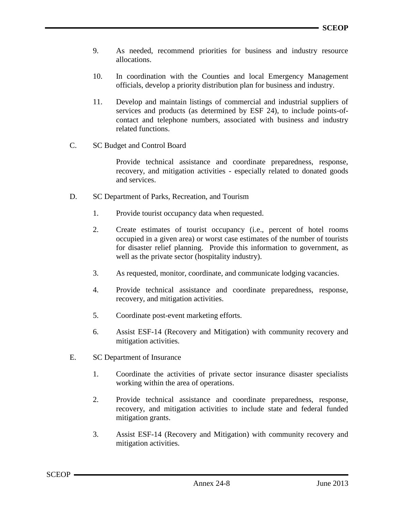- 9. As needed, recommend priorities for business and industry resource allocations.
- 10. In coordination with the Counties and local Emergency Management officials, develop a priority distribution plan for business and industry.
- 11. Develop and maintain listings of commercial and industrial suppliers of services and products (as determined by ESF 24), to include points-ofcontact and telephone numbers, associated with business and industry related functions.
- C. SC Budget and Control Board

Provide technical assistance and coordinate preparedness, response, recovery, and mitigation activities - especially related to donated goods and services.

- D. SC Department of Parks, Recreation, and Tourism
	- 1. Provide tourist occupancy data when requested.
	- 2. Create estimates of tourist occupancy (i.e., percent of hotel rooms occupied in a given area) or worst case estimates of the number of tourists for disaster relief planning. Provide this information to government, as well as the private sector (hospitality industry).
	- 3. As requested, monitor, coordinate, and communicate lodging vacancies.
	- 4. Provide technical assistance and coordinate preparedness, response, recovery, and mitigation activities.
	- 5. Coordinate post-event marketing efforts.
	- 6. Assist ESF-14 (Recovery and Mitigation) with community recovery and mitigation activities.
- E. SC Department of Insurance
	- 1. Coordinate the activities of private sector insurance disaster specialists working within the area of operations.
	- 2. Provide technical assistance and coordinate preparedness, response, recovery, and mitigation activities to include state and federal funded mitigation grants.
	- 3. Assist ESF-14 (Recovery and Mitigation) with community recovery and mitigation activities.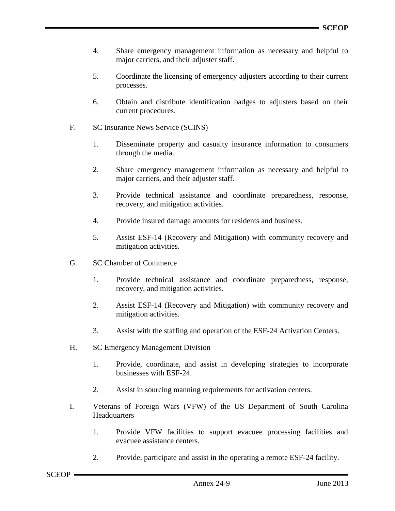- 4. Share emergency management information as necessary and helpful to major carriers, and their adjuster staff.
- 5. Coordinate the licensing of emergency adjusters according to their current processes.
- 6. Obtain and distribute identification badges to adjusters based on their current procedures.
- F. SC Insurance News Service (SCINS)
	- 1. Disseminate property and casualty insurance information to consumers through the media.
	- 2. Share emergency management information as necessary and helpful to major carriers, and their adjuster staff.
	- 3. Provide technical assistance and coordinate preparedness, response, recovery, and mitigation activities.
	- 4. Provide insured damage amounts for residents and business.
	- 5. Assist ESF-14 (Recovery and Mitigation) with community recovery and mitigation activities.
- G. SC Chamber of Commerce
	- 1. Provide technical assistance and coordinate preparedness, response, recovery, and mitigation activities.
	- 2. Assist ESF-14 (Recovery and Mitigation) with community recovery and mitigation activities.
	- 3. Assist with the staffing and operation of the ESF-24 Activation Centers.
- H. SC Emergency Management Division
	- 1. Provide, coordinate, and assist in developing strategies to incorporate businesses with ESF-24.
	- 2. Assist in sourcing manning requirements for activation centers.
- I. Veterans of Foreign Wars (VFW) of the US Department of South Carolina **Headquarters** 
	- 1. Provide VFW facilities to support evacuee processing facilities and evacuee assistance centers.
	- 2. Provide, participate and assist in the operating a remote ESF-24 facility.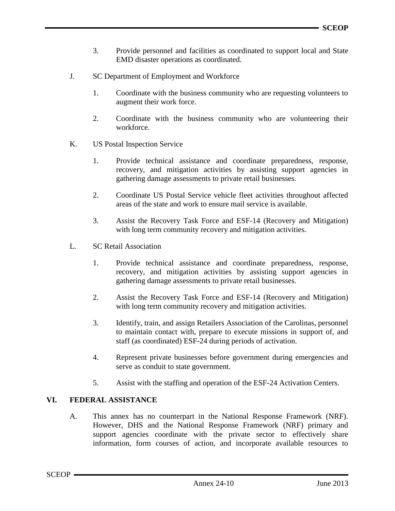- 3. Provide personnel and facilities as coordinated to support local and State EMD disaster operations as coordinated.
- J. SC Department of Employment and Workforce
	- 1. Coordinate with the business community who are requesting volunteers to augment their work force.
	- 2. Coordinate with the business community who are volunteering their workforce.
- K. US Postal Inspection Service
	- 1. Provide technical assistance and coordinate preparedness, response, recovery, and mitigation activities by assisting support agencies in gathering damage assessments to private retail businesses.
	- 2. Coordinate US Postal Service vehicle fleet activities throughout affected areas of the state and work to ensure mail service is available.
	- 3. Assist the Recovery Task Force and ESF-14 (Recovery and Mitigation) with long term community recovery and mitigation activities.
- L. SC Retail Association
	- 1. Provide technical assistance and coordinate preparedness, response, recovery, and mitigation activities by assisting support agencies in gathering damage assessments to private retail businesses.
	- 2. Assist the Recovery Task Force and ESF-14 (Recovery and Mitigation) with long term community recovery and mitigation activities.
	- 3. Identify, train, and assign Retailers Association of the Carolinas, personnel to maintain contact with, prepare to execute missions in support of, and staff (as coordinated) ESF-24 during periods of activation.
	- 4. Represent private businesses before government during emergencies and serve as conduit to state government.
	- 5. Assist with the staffing and operation of the ESF-24 Activation Centers.

# **VI. FEDERAL ASSISTANCE**

A. This annex has no counterpart in the National Response Framework (NRF). However, DHS and the National Response Framework (NRF) primary and support agencies coordinate with the private sector to effectively share information, form courses of action, and incorporate available resources to